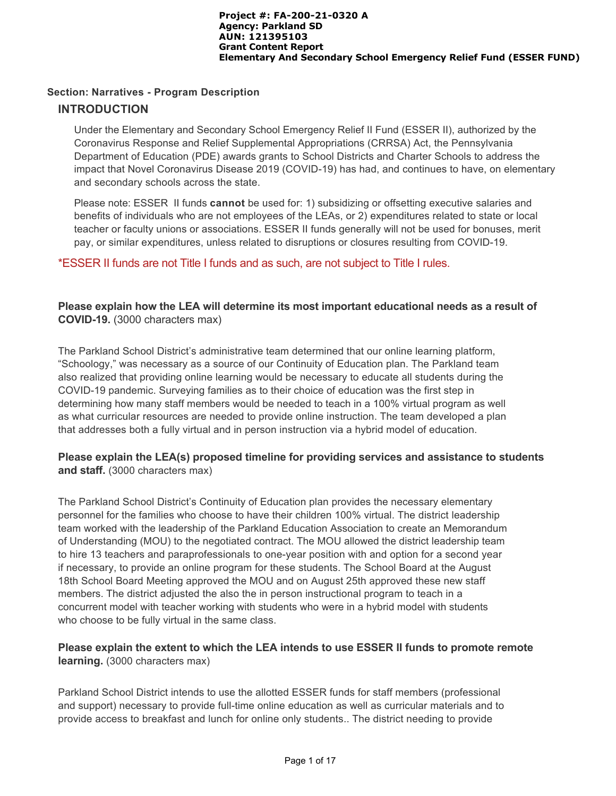## **Section: Narratives - Program Description**

## **INTRODUCTION**

Under the Elementary and Secondary School Emergency Relief II Fund (ESSER II), authorized by the Coronavirus Response and Relief Supplemental Appropriations (CRRSA) Act, the Pennsylvania Department of Education (PDE) awards grants to School Districts and Charter Schools to address the impact that Novel Coronavirus Disease 2019 (COVID-19) has had, and continues to have, on elementary and secondary schools across the state.

Please note: ESSER II funds **cannot** be used for: 1) subsidizing or offsetting executive salaries and benefits of individuals who are not employees of the LEAs, or 2) expenditures related to state or local teacher or faculty unions or associations. ESSER II funds generally will not be used for bonuses, merit pay, or similar expenditures, unless related to disruptions or closures resulting from COVID-19.

## \*ESSER II funds are not Title I funds and as such, are not subject to Title I rules.

## **Please explain how the LEA will determine its most important educational needs as a result of COVID-19.** (3000 characters max)

The Parkland School District's administrative team determined that our online learning platform, "Schoology," was necessary as a source of our Continuity of Education plan. The Parkland team also realized that providing online learning would be necessary to educate all students during the COVID-19 pandemic. Surveying families as to their choice of education was the first step in determining how many staff members would be needed to teach in a 100% virtual program as well as what curricular resources are needed to provide online instruction. The team developed a plan that addresses both a fully virtual and in person instruction via a hybrid model of education.

## **Please explain the LEA(s) proposed timeline for providing services and assistance to students and staff.** (3000 characters max)

The Parkland School District's Continuity of Education plan provides the necessary elementary personnel for the families who choose to have their children 100% virtual. The district leadership team worked with the leadership of the Parkland Education Association to create an Memorandum of Understanding (MOU) to the negotiated contract. The MOU allowed the district leadership team to hire 13 teachers and paraprofessionals to one-year position with and option for a second year if necessary, to provide an online program for these students. The School Board at the August 18th School Board Meeting approved the MOU and on August 25th approved these new staff members. The district adjusted the also the in person instructional program to teach in a concurrent model with teacher working with students who were in a hybrid model with students who choose to be fully virtual in the same class.

## **Please explain the extent to which the LEA intends to use ESSER II funds to promote remote learning.** (3000 characters max)

Parkland School District intends to use the allotted ESSER funds for staff members (professional and support) necessary to provide full-time online education as well as curricular materials and to provide access to breakfast and lunch for online only students.. The district needing to provide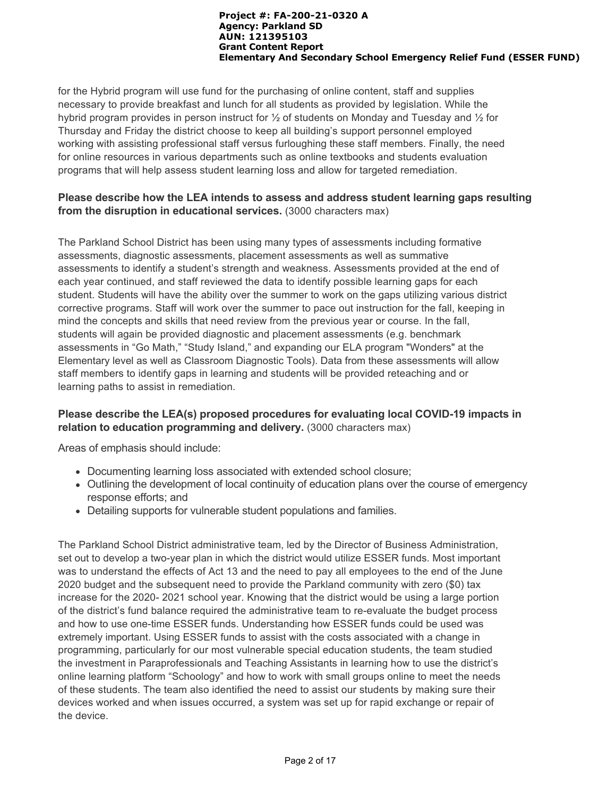for the Hybrid program will use fund for the purchasing of online content, staff and supplies necessary to provide breakfast and lunch for all students as provided by legislation. While the hybrid program provides in person instruct for ½ of students on Monday and Tuesday and ½ for Thursday and Friday the district choose to keep all building's support personnel employed working with assisting professional staff versus furloughing these staff members. Finally, the need for online resources in various departments such as online textbooks and students evaluation programs that will help assess student learning loss and allow for targeted remediation.

## **Please describe how the LEA intends to assess and address student learning gaps resulting from the disruption in educational services.** (3000 characters max)

The Parkland School District has been using many types of assessments including formative assessments, diagnostic assessments, placement assessments as well as summative assessments to identify a student's strength and weakness. Assessments provided at the end of each year continued, and staff reviewed the data to identify possible learning gaps for each student. Students will have the ability over the summer to work on the gaps utilizing various district corrective programs. Staff will work over the summer to pace out instruction for the fall, keeping in mind the concepts and skills that need review from the previous year or course. In the fall, students will again be provided diagnostic and placement assessments (e.g. benchmark assessments in "Go Math," "Study Island," and expanding our ELA program "Wonders" at the Elementary level as well as Classroom Diagnostic Tools). Data from these assessments will allow staff members to identify gaps in learning and students will be provided reteaching and or learning paths to assist in remediation.

## **Please describe the LEA(s) proposed procedures for evaluating local COVID-19 impacts in relation to education programming and delivery.** (3000 characters max)

Areas of emphasis should include:

- Documenting learning loss associated with extended school closure;
- Outlining the development of local continuity of education plans over the course of emergency response efforts; and
- Detailing supports for vulnerable student populations and families.

The Parkland School District administrative team, led by the Director of Business Administration, set out to develop a two-year plan in which the district would utilize ESSER funds. Most important was to understand the effects of Act 13 and the need to pay all employees to the end of the June 2020 budget and the subsequent need to provide the Parkland community with zero (\$0) tax increase for the 2020- 2021 school year. Knowing that the district would be using a large portion of the district's fund balance required the administrative team to re-evaluate the budget process and how to use one-time ESSER funds. Understanding how ESSER funds could be used was extremely important. Using ESSER funds to assist with the costs associated with a change in programming, particularly for our most vulnerable special education students, the team studied the investment in Paraprofessionals and Teaching Assistants in learning how to use the district's online learning platform "Schoology" and how to work with small groups online to meet the needs of these students. The team also identified the need to assist our students by making sure their devices worked and when issues occurred, a system was set up for rapid exchange or repair of the device.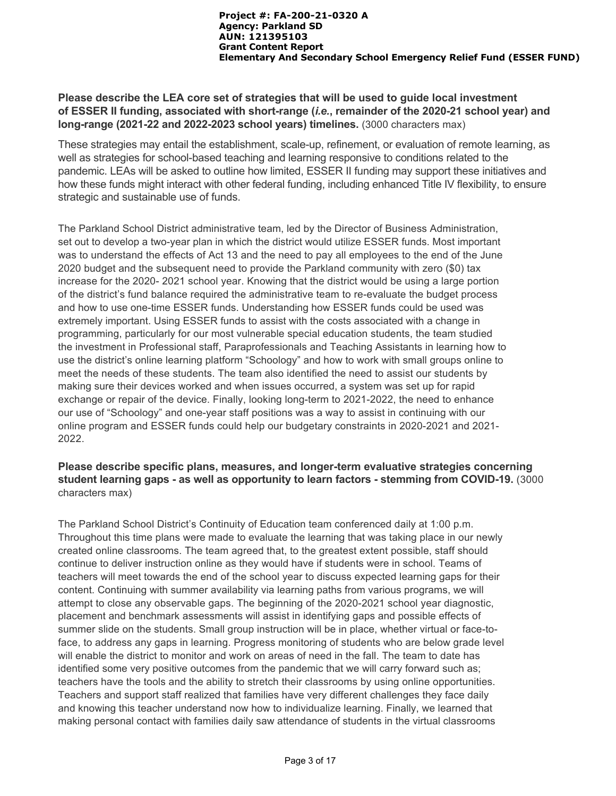## **Please describe the LEA core set of strategies that will be used to guide local investment of ESSER II funding, associated with short-range (***i.e.***, remainder of the 2020-21 school year) and long-range (2021-22 and 2022-2023 school years) timelines.** (3000 characters max)

These strategies may entail the establishment, scale-up, refinement, or evaluation of remote learning, as well as strategies for school-based teaching and learning responsive to conditions related to the pandemic. LEAs will be asked to outline how limited, ESSER II funding may support these initiatives and how these funds might interact with other federal funding, including enhanced Title IV flexibility, to ensure strategic and sustainable use of funds.

The Parkland School District administrative team, led by the Director of Business Administration, set out to develop a two-year plan in which the district would utilize ESSER funds. Most important was to understand the effects of Act 13 and the need to pay all employees to the end of the June 2020 budget and the subsequent need to provide the Parkland community with zero (\$0) tax increase for the 2020- 2021 school year. Knowing that the district would be using a large portion of the district's fund balance required the administrative team to re-evaluate the budget process and how to use one-time ESSER funds. Understanding how ESSER funds could be used was extremely important. Using ESSER funds to assist with the costs associated with a change in programming, particularly for our most vulnerable special education students, the team studied the investment in Professional staff, Paraprofessionals and Teaching Assistants in learning how to use the district's online learning platform "Schoology" and how to work with small groups online to meet the needs of these students. The team also identified the need to assist our students by making sure their devices worked and when issues occurred, a system was set up for rapid exchange or repair of the device. Finally, looking long-term to 2021-2022, the need to enhance our use of "Schoology" and one-year staff positions was a way to assist in continuing with our online program and ESSER funds could help our budgetary constraints in 2020-2021 and 2021- 2022.

## **Please describe specific plans, measures, and longer-term evaluative strategies concerning student learning gaps - as well as opportunity to learn factors - stemming from COVID-19.** (3000 characters max)

The Parkland School District's Continuity of Education team conferenced daily at 1:00 p.m. Throughout this time plans were made to evaluate the learning that was taking place in our newly created online classrooms. The team agreed that, to the greatest extent possible, staff should continue to deliver instruction online as they would have if students were in school. Teams of teachers will meet towards the end of the school year to discuss expected learning gaps for their content. Continuing with summer availability via learning paths from various programs, we will attempt to close any observable gaps. The beginning of the 2020-2021 school year diagnostic, placement and benchmark assessments will assist in identifying gaps and possible effects of summer slide on the students. Small group instruction will be in place, whether virtual or face-toface, to address any gaps in learning. Progress monitoring of students who are below grade level will enable the district to monitor and work on areas of need in the fall. The team to date has identified some very positive outcomes from the pandemic that we will carry forward such as; teachers have the tools and the ability to stretch their classrooms by using online opportunities. Teachers and support staff realized that families have very different challenges they face daily and knowing this teacher understand now how to individualize learning. Finally, we learned that making personal contact with families daily saw attendance of students in the virtual classrooms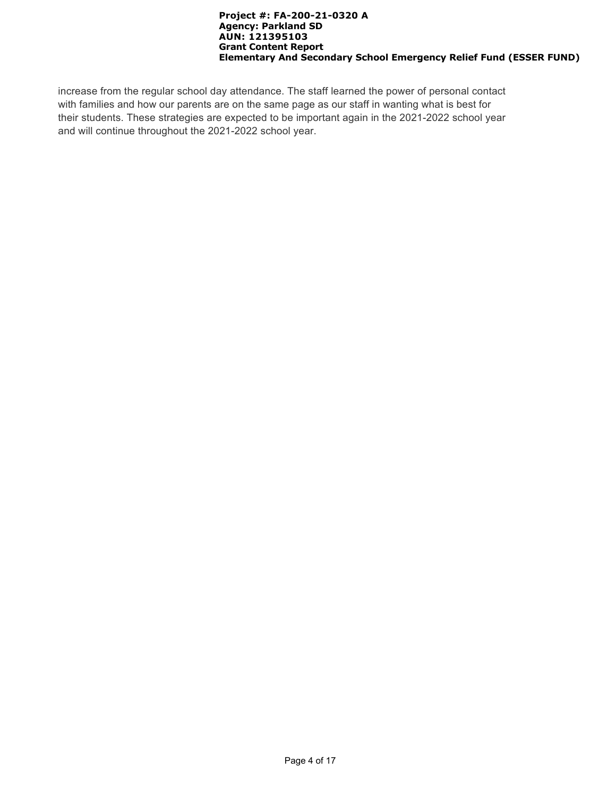increase from the regular school day attendance. The staff learned the power of personal contact with families and how our parents are on the same page as our staff in wanting what is best for their students. These strategies are expected to be important again in the 2021-2022 school year and will continue throughout the 2021-2022 school year.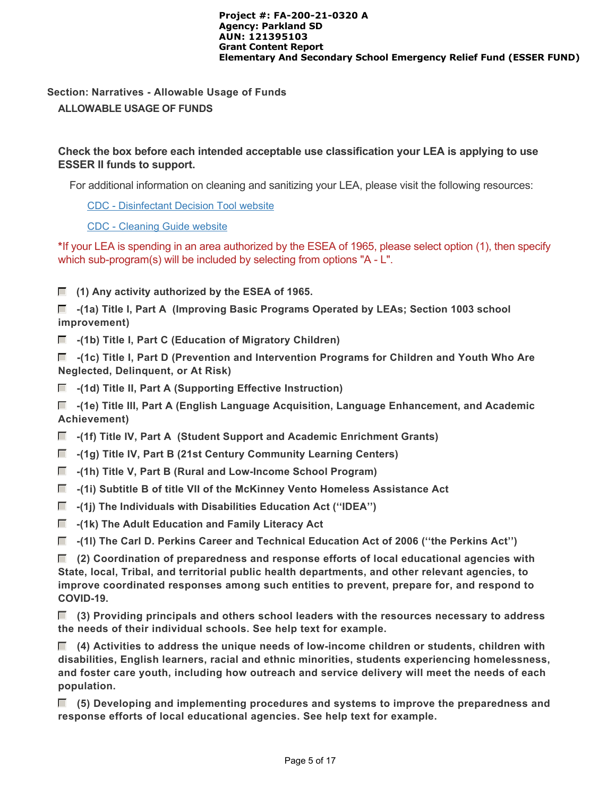# **Section: Narratives - Allowable Usage of Funds**

# **ALLOWABLE USAGE OF FUNDS**

# **Check the box before each intended acceptable use classification your LEA is applying to use ESSER II funds to support.**

For additional information on cleaning and sanitizing your LEA, please visit the following resources:

[CDC - Disinfectant Decision Tool website](https://www.cdc.gov/coronavirus/2019-ncov/community/pdf/ReOpening_America_Cleaning_Disinfection_Decision_Tool.pdf)

[CDC - Cleaning Guide website](https://www.cdc.gov/coronavirus/2019-ncov/community/disinfecting-building-facility.html)

**\***If your LEA is spending in an area authorized by the ESEA of 1965, please select option (1), then specify which sub-program(s) will be included by selecting from options "A - L".

 **(1) Any activity authorized by the ESEA of 1965.**

 **-(1a) Title I, Part A (Improving Basic Programs Operated by LEAs; Section 1003 school improvement)** 

 $\blacksquare$  -(1b) Title I, Part C (Education of Migratory Children)

 **-(1c) Title I, Part D (Prevention and Intervention Programs for Children and Youth Who Are Neglected, Delinquent, or At Risk)**

 $\blacksquare$  -(1d) Title II, Part A (Supporting Effective Instruction)

 **-(1e) Title III, Part A (English Language Acquisition, Language Enhancement, and Academic Achievement)**

- **-(1f) Title IV, Part A (Student Support and Academic Enrichment Grants)**
- **-(1g) Title IV, Part B (21st Century Community Learning Centers)**
- **-(1h) Title V, Part B (Rural and Low-Income School Program)**
- **-(1i) Subtitle B of title VII of the McKinney Vento Homeless Assistance Act**
- **-(1j) The Individuals with Disabilities Education Act (''IDEA'')**
- $\blacksquare$  -(1k) The Adult Education and Family Literacy Act
- **-(1l) The Carl D. Perkins Career and Technical Education Act of 2006 (''the Perkins Act'')**

 **(2) Coordination of preparedness and response efforts of local educational agencies with State, local, Tribal, and territorial public health departments, and other relevant agencies, to improve coordinated responses among such entities to prevent, prepare for, and respond to COVID-19.**

 **(3) Providing principals and others school leaders with the resources necessary to address the needs of their individual schools. See help text for example.**

 **(4) Activities to address the unique needs of low-income children or students, children with disabilities, English learners, racial and ethnic minorities, students experiencing homelessness, and foster care youth, including how outreach and service delivery will meet the needs of each population.**

 **(5) Developing and implementing procedures and systems to improve the preparedness and response efforts of local educational agencies. See help text for example.**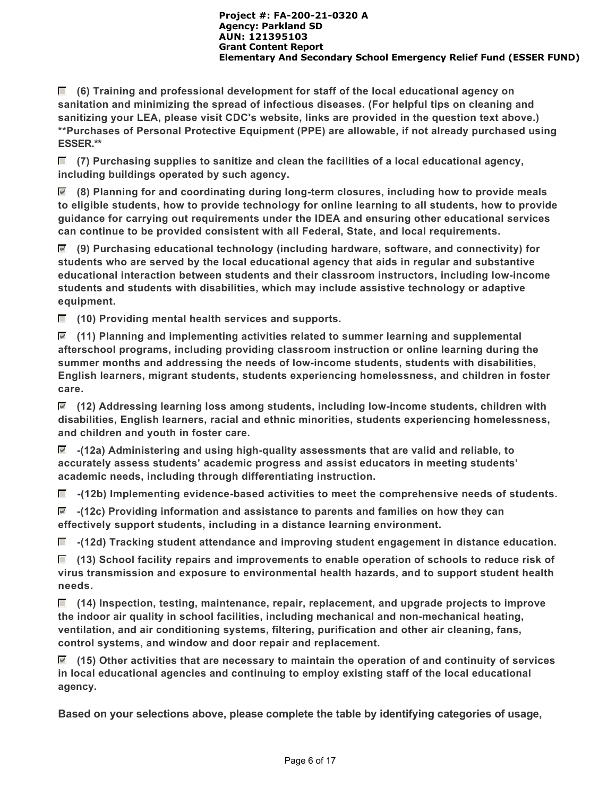**(6) Training and professional development for staff of the local educational agency on sanitation and minimizing the spread of infectious diseases. (For helpful tips on cleaning and sanitizing your LEA, please visit CDC's website, links are provided in the question text above.) \*\*Purchases of Personal Protective Equipment (PPE) are allowable, if not already purchased using ESSER.\*\***

 **(7) Purchasing supplies to sanitize and clean the facilities of a local educational agency, including buildings operated by such agency.**

 **(8) Planning for and coordinating during long-term closures, including how to provide meals to eligible students, how to provide technology for online learning to all students, how to provide guidance for carrying out requirements under the IDEA and ensuring other educational services can continue to be provided consistent with all Federal, State, and local requirements.**

 **(9) Purchasing educational technology (including hardware, software, and connectivity) for students who are served by the local educational agency that aids in regular and substantive educational interaction between students and their classroom instructors, including low-income students and students with disabilities, which may include assistive technology or adaptive equipment.**

 **(10) Providing mental health services and supports.**

 **(11) Planning and implementing activities related to summer learning and supplemental afterschool programs, including providing classroom instruction or online learning during the summer months and addressing the needs of low-income students, students with disabilities, English learners, migrant students, students experiencing homelessness, and children in foster care.**

 **(12) Addressing learning loss among students, including low-income students, children with disabilities, English learners, racial and ethnic minorities, students experiencing homelessness, and children and youth in foster care.**

 **-(12a) Administering and using high-quality assessments that are valid and reliable, to accurately assess students' academic progress and assist educators in meeting students' academic needs, including through differentiating instruction.**

 **-(12b) Implementing evidence-based activities to meet the comprehensive needs of students.**

 **-(12c) Providing information and assistance to parents and families on how they can effectively support students, including in a distance learning environment.**

 **-(12d) Tracking student attendance and improving student engagement in distance education.**

 **(13) School facility repairs and improvements to enable operation of schools to reduce risk of virus transmission and exposure to environmental health hazards, and to support student health needs.**

 **(14) Inspection, testing, maintenance, repair, replacement, and upgrade projects to improve the indoor air quality in school facilities, including mechanical and non-mechanical heating, ventilation, and air conditioning systems, filtering, purification and other air cleaning, fans, control systems, and window and door repair and replacement.**

 **(15) Other activities that are necessary to maintain the operation of and continuity of services in local educational agencies and continuing to employ existing staff of the local educational agency.**

**Based on your selections above, please complete the table by identifying categories of usage,**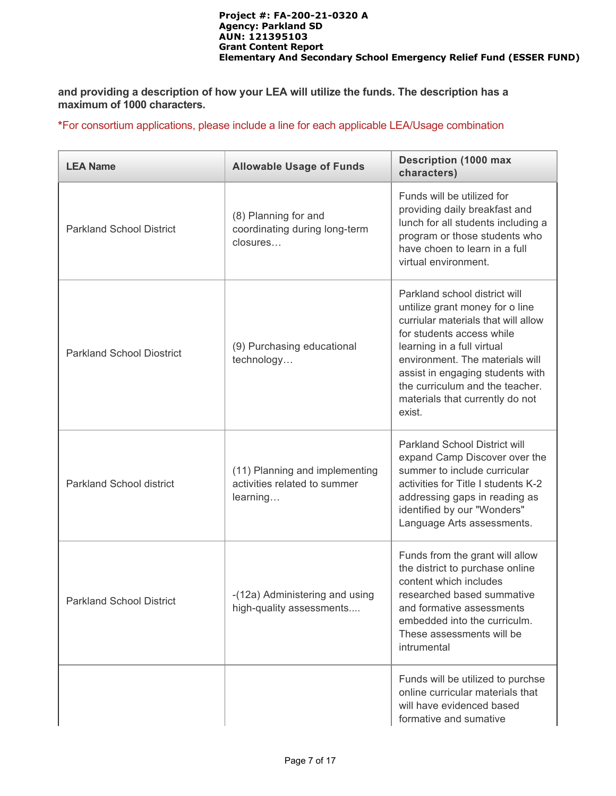**and providing a description of how your LEA will utilize the funds. The description has a maximum of 1000 characters.**

**\***For consortium applications, please include a line for each applicable LEA/Usage combination

| <b>LEA Name</b>                  | <b>Allowable Usage of Funds</b>                                            | <b>Description (1000 max</b><br>characters)                                                                                                                                                                                                                                                                               |  |  |
|----------------------------------|----------------------------------------------------------------------------|---------------------------------------------------------------------------------------------------------------------------------------------------------------------------------------------------------------------------------------------------------------------------------------------------------------------------|--|--|
| <b>Parkland School District</b>  | (8) Planning for and<br>coordinating during long-term<br>closures          | Funds will be utilized for<br>providing daily breakfast and<br>lunch for all students including a<br>program or those students who<br>have choen to learn in a full<br>virtual environment.                                                                                                                               |  |  |
| <b>Parkland School Diostrict</b> | (9) Purchasing educational<br>technology                                   | Parkland school district will<br>untilize grant money for o line<br>curriular materials that will allow<br>for students access while<br>learning in a full virtual<br>environment. The materials will<br>assist in engaging students with<br>the curriculum and the teacher.<br>materials that currently do not<br>exist. |  |  |
| <b>Parkland School district</b>  | (11) Planning and implementing<br>activities related to summer<br>learning | Parkland School District will<br>expand Camp Discover over the<br>summer to include curricular<br>activities for Title I students K-2<br>addressing gaps in reading as<br>identified by our "Wonders"<br>Language Arts assessments.                                                                                       |  |  |
| <b>Parkland School District</b>  | -(12a) Administering and using<br>high-quality assessments                 | Funds from the grant will allow<br>the district to purchase online<br>content which includes<br>researched based summative<br>and formative assessments<br>embedded into the curriculm.<br>These assessments will be<br>intrumental                                                                                       |  |  |
|                                  |                                                                            | Funds will be utilized to purchse<br>online curricular materials that<br>will have evidenced based<br>formative and sumative                                                                                                                                                                                              |  |  |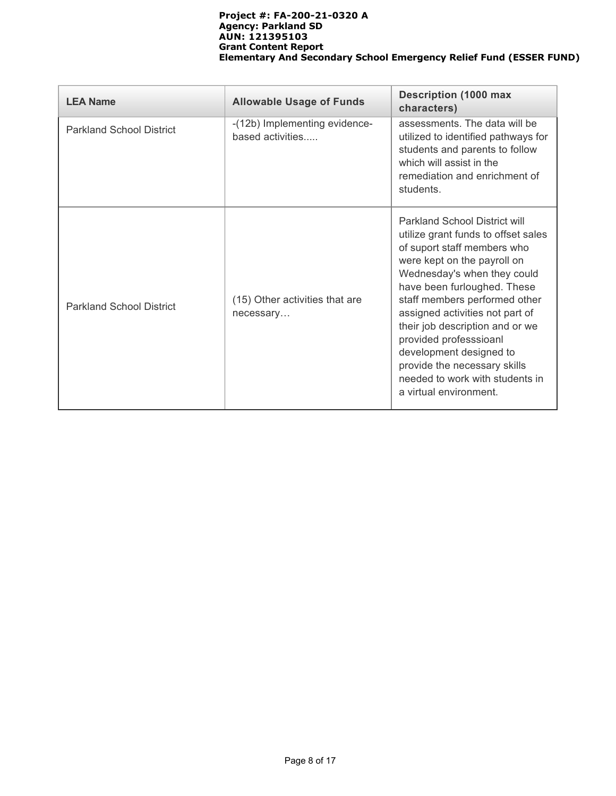| <b>LEA Name</b>                 | <b>Allowable Usage of Funds</b>                   | <b>Description (1000 max</b><br>characters)                                                                                                                                                                                                                                                                                                                                                                                                                      |
|---------------------------------|---------------------------------------------------|------------------------------------------------------------------------------------------------------------------------------------------------------------------------------------------------------------------------------------------------------------------------------------------------------------------------------------------------------------------------------------------------------------------------------------------------------------------|
| <b>Parkland School District</b> | -(12b) Implementing evidence-<br>based activities | assessments. The data will be<br>utilized to identified pathways for<br>students and parents to follow<br>which will assist in the<br>remediation and enrichment of<br>students.                                                                                                                                                                                                                                                                                 |
| <b>Parkland School District</b> | (15) Other activities that are<br>necessary       | <b>Parkland School District will</b><br>utilize grant funds to offset sales<br>of suport staff members who<br>were kept on the payroll on<br>Wednesday's when they could<br>have been furloughed. These<br>staff members performed other<br>assigned activities not part of<br>their job description and or we<br>provided professsioanl<br>development designed to<br>provide the necessary skills<br>needed to work with students in<br>a virtual environment. |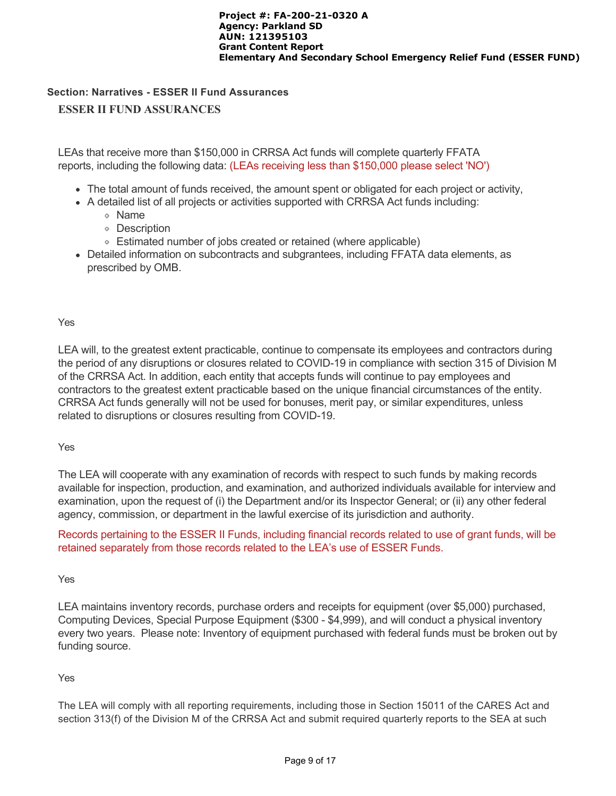## **Section: Narratives - ESSER II Fund Assurances**

## **ESSER II FUND ASSURANCES**

LEAs that receive more than \$150,000 in CRRSA Act funds will complete quarterly FFATA reports, including the following data: (LEAs receiving less than \$150,000 please select 'NO')

- The total amount of funds received, the amount spent or obligated for each project or activity,
- A detailed list of all projects or activities supported with CRRSA Act funds including:
	- Name
	- Description
	- Estimated number of jobs created or retained (where applicable)
- Detailed information on subcontracts and subgrantees, including FFATA data elements, as prescribed by OMB.

## Yes

LEA will, to the greatest extent practicable, continue to compensate its employees and contractors during the period of any disruptions or closures related to COVID-19 in compliance with section 315 of Division M of the CRRSA Act. In addition, each entity that accepts funds will continue to pay employees and contractors to the greatest extent practicable based on the unique financial circumstances of the entity. CRRSA Act funds generally will not be used for bonuses, merit pay, or similar expenditures, unless related to disruptions or closures resulting from COVID-19.

Yes

The LEA will cooperate with any examination of records with respect to such funds by making records available for inspection, production, and examination, and authorized individuals available for interview and examination, upon the request of (i) the Department and/or its Inspector General; or (ii) any other federal agency, commission, or department in the lawful exercise of its jurisdiction and authority.

Records pertaining to the ESSER II Funds, including financial records related to use of grant funds, will be retained separately from those records related to the LEA's use of ESSER Funds.

#### Yes

LEA maintains inventory records, purchase orders and receipts for equipment (over \$5,000) purchased, Computing Devices, Special Purpose Equipment (\$300 - \$4,999), and will conduct a physical inventory every two years. Please note: Inventory of equipment purchased with federal funds must be broken out by funding source.

## Yes

The LEA will comply with all reporting requirements, including those in Section 15011 of the CARES Act and section 313(f) of the Division M of the CRRSA Act and submit required quarterly reports to the SEA at such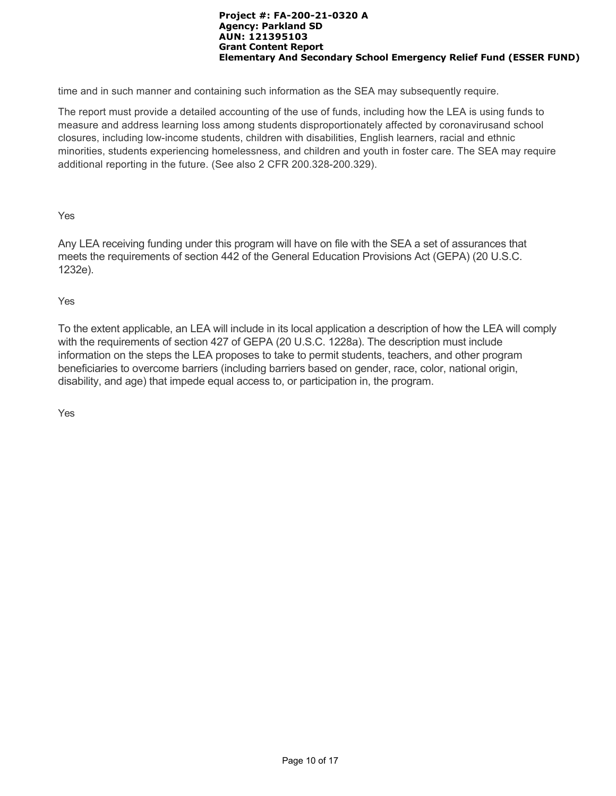time and in such manner and containing such information as the SEA may subsequently require.

The report must provide a detailed accounting of the use of funds, including how the LEA is using funds to measure and address learning loss among students disproportionately affected by coronavirusand school closures, including low-income students, children with disabilities, English learners, racial and ethnic minorities, students experiencing homelessness, and children and youth in foster care. The SEA may require additional reporting in the future. (See also 2 CFR 200.328-200.329).

Yes

Any LEA receiving funding under this program will have on file with the SEA a set of assurances that meets the requirements of section 442 of the General Education Provisions Act (GEPA) (20 U.S.C. 1232e).

Yes

To the extent applicable, an LEA will include in its local application a description of how the LEA will comply with the requirements of section 427 of GEPA (20 U.S.C. 1228a). The description must include information on the steps the LEA proposes to take to permit students, teachers, and other program beneficiaries to overcome barriers (including barriers based on gender, race, color, national origin, disability, and age) that impede equal access to, or participation in, the program.

Yes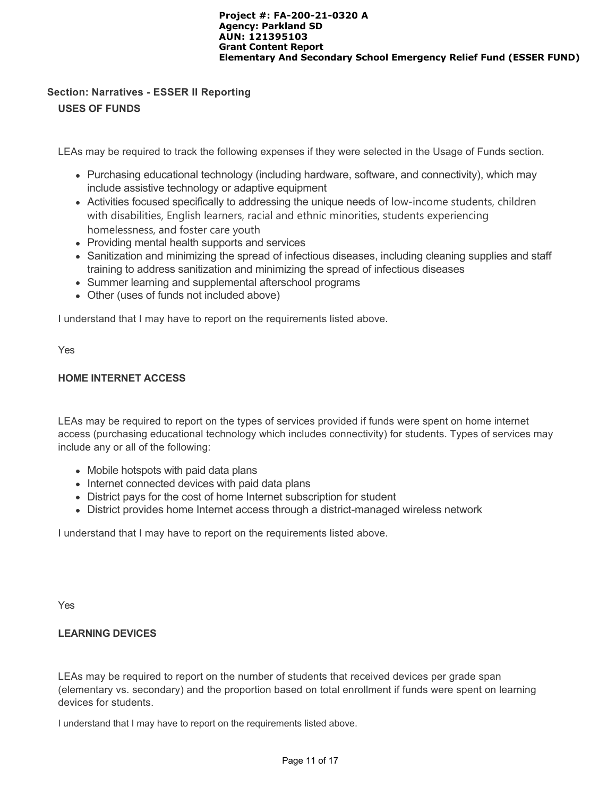## **Section: Narratives - ESSER II Reporting USES OF FUNDS**

LEAs may be required to track the following expenses if they were selected in the Usage of Funds section.

- Purchasing educational technology (including hardware, software, and connectivity), which may include assistive technology or adaptive equipment
- Activities focused specifically to addressing the unique needs of low-income students, children with disabilities, English learners, racial and ethnic minorities, students experiencing homelessness, and foster care youth
- Providing mental health supports and services
- Sanitization and minimizing the spread of infectious diseases, including cleaning supplies and staff training to address sanitization and minimizing the spread of infectious diseases
- Summer learning and supplemental afterschool programs
- Other (uses of funds not included above)

I understand that I may have to report on the requirements listed above.

Yes

## **HOME INTERNET ACCESS**

LEAs may be required to report on the types of services provided if funds were spent on home internet access (purchasing educational technology which includes connectivity) for students. Types of services may include any or all of the following:

- Mobile hotspots with paid data plans
- Internet connected devices with paid data plans
- District pays for the cost of home Internet subscription for student
- District provides home Internet access through a district-managed wireless network

I understand that I may have to report on the requirements listed above.

Yes

## **LEARNING DEVICES**

LEAs may be required to report on the number of students that received devices per grade span (elementary vs. secondary) and the proportion based on total enrollment if funds were spent on learning devices for students.

I understand that I may have to report on the requirements listed above.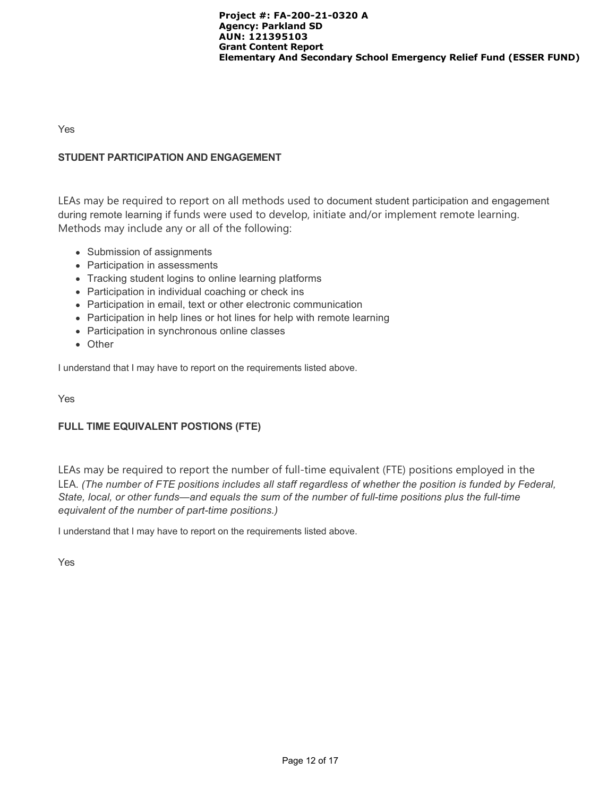Yes

## **STUDENT PARTICIPATION AND ENGAGEMENT**

LEAs may be required to report on all methods used to document student participation and engagement during remote learning if funds were used to develop, initiate and/or implement remote learning. Methods may include any or all of the following:

- Submission of assignments
- Participation in assessments
- Tracking student logins to online learning platforms
- Participation in individual coaching or check ins
- Participation in email, text or other electronic communication
- Participation in help lines or hot lines for help with remote learning
- Participation in synchronous online classes
- Other

I understand that I may have to report on the requirements listed above.

Yes

## **FULL TIME EQUIVALENT POSTIONS (FTE)**

LEAs may be required to report the number of full-time equivalent (FTE) positions employed in the LEA. *(The number of FTE positions includes all staff regardless of whether the position is funded by Federal, State, local, or other funds—and equals the sum of the number of full-time positions plus the full-time equivalent of the number of part-time positions.)*

I understand that I may have to report on the requirements listed above.

Yes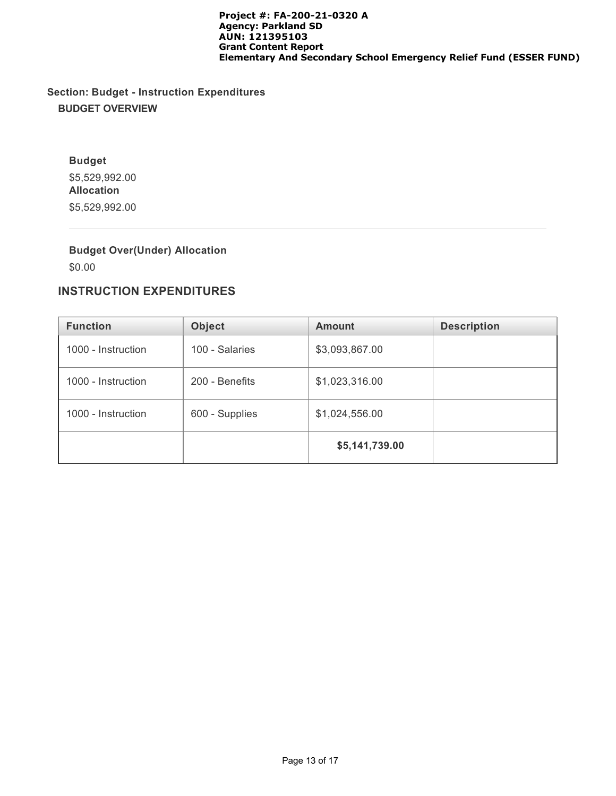# **Section: Budget - Instruction Expenditures BUDGET OVERVIEW**

**Budget** \$5,529,992.00 **Allocation** \$5,529,992.00

# **Budget Over(Under) Allocation**

\$0.00

# **INSTRUCTION EXPENDITURES**

| <b>Function</b>    | <b>Object</b>  | <b>Amount</b>  | <b>Description</b> |
|--------------------|----------------|----------------|--------------------|
| 1000 - Instruction | 100 - Salaries | \$3,093,867.00 |                    |
| 1000 - Instruction | 200 - Benefits | \$1,023,316.00 |                    |
| 1000 - Instruction | 600 - Supplies | \$1,024,556.00 |                    |
|                    |                | \$5,141,739.00 |                    |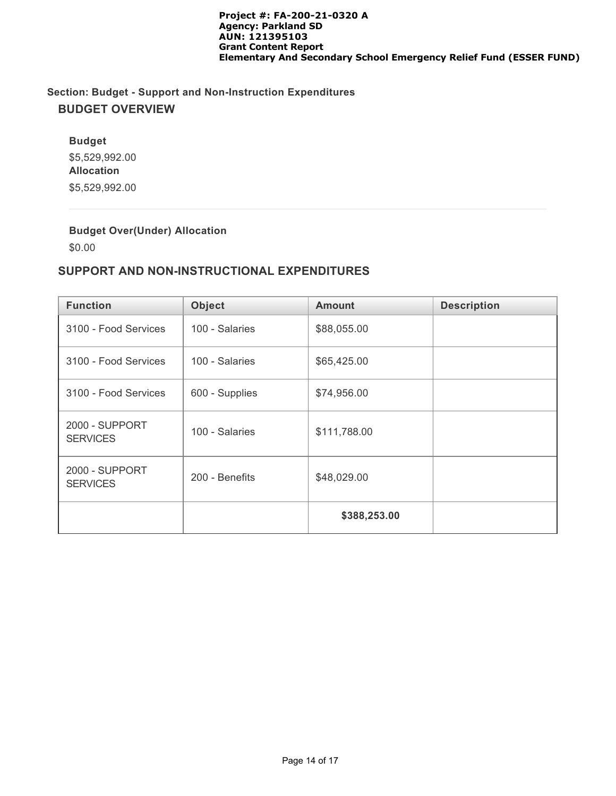# **Section: Budget - Support and Non-Instruction Expenditures BUDGET OVERVIEW**

**Budget** \$5,529,992.00 **Allocation** \$5,529,992.00

**Budget Over(Under) Allocation**

\$0.00

# **SUPPORT AND NON-INSTRUCTIONAL EXPENDITURES**

| <b>Function</b>                          | <b>Object</b>  | <b>Amount</b> | <b>Description</b> |
|------------------------------------------|----------------|---------------|--------------------|
| 3100 - Food Services                     | 100 - Salaries | \$88,055.00   |                    |
| 3100 - Food Services                     | 100 - Salaries | \$65,425.00   |                    |
| 3100 - Food Services                     | 600 - Supplies | \$74,956.00   |                    |
| <b>2000 - SUPPORT</b><br><b>SERVICES</b> | 100 - Salaries | \$111,788.00  |                    |
| <b>2000 - SUPPORT</b><br><b>SERVICES</b> | 200 - Benefits | \$48,029.00   |                    |
|                                          |                | \$388,253.00  |                    |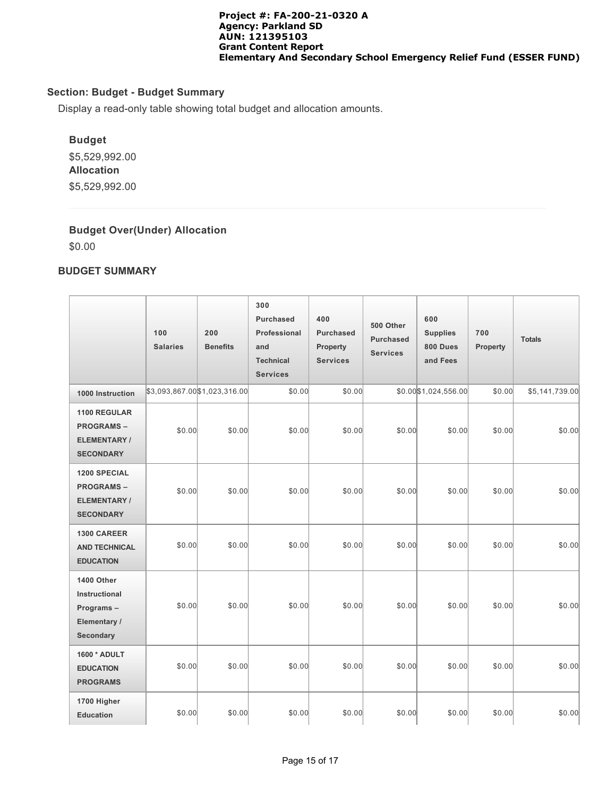## **Section: Budget - Budget Summary**

Display a read-only table showing total budget and allocation amounts.

## **Budget**

\$5,529,992.00 **Allocation** \$5,529,992.00

## **Budget Over(Under) Allocation**

\$0.00

## **BUDGET SUMMARY**

|                                                                            | 100<br><b>Salaries</b> | 200<br><b>Benefits</b>       | 300<br>Purchased<br>Professional<br>and<br><b>Technical</b><br><b>Services</b> | 400<br><b>Purchased</b><br>Property<br><b>Services</b> | 500 Other<br><b>Purchased</b><br><b>Services</b> | 600<br><b>Supplies</b><br>800 Dues<br>and Fees | 700<br>Property | <b>Totals</b>  |
|----------------------------------------------------------------------------|------------------------|------------------------------|--------------------------------------------------------------------------------|--------------------------------------------------------|--------------------------------------------------|------------------------------------------------|-----------------|----------------|
| 1000 Instruction                                                           |                        | \$3,093,867.00\$1,023,316.00 | \$0.00                                                                         | \$0.00                                                 |                                                  | \$0.00 \$1,024,556.00                          | \$0.00          | \$5,141,739.00 |
| 1100 REGULAR<br><b>PROGRAMS-</b><br><b>ELEMENTARY/</b><br><b>SECONDARY</b> | \$0.00                 | \$0.00                       | \$0.00                                                                         | \$0.00                                                 | \$0.00                                           | \$0.00                                         | \$0.00          | \$0.00         |
| 1200 SPECIAL<br><b>PROGRAMS-</b><br><b>ELEMENTARY/</b><br><b>SECONDARY</b> | \$0.00                 | \$0.00                       | \$0.00                                                                         | \$0.00                                                 | \$0.00                                           | \$0.00                                         | \$0.00          | \$0.00         |
| <b>1300 CAREER</b><br><b>AND TECHNICAL</b><br><b>EDUCATION</b>             | \$0.00                 | \$0.00                       | \$0.00                                                                         | \$0.00                                                 | \$0.00                                           | \$0.00                                         | \$0.00          | \$0.00         |
| 1400 Other<br>Instructional<br>Programs-<br>Elementary /<br>Secondary      | \$0.00                 | \$0.00                       | \$0.00                                                                         | \$0.00                                                 | \$0.00                                           | \$0.00                                         | \$0.00          | \$0.00         |
| 1600 * ADULT<br><b>EDUCATION</b><br><b>PROGRAMS</b>                        | \$0.00                 | \$0.00                       | \$0.00                                                                         | \$0.00                                                 | \$0.00                                           | \$0.00                                         | \$0.00          | \$0.00         |
| 1700 Higher<br><b>Education</b>                                            | \$0.00                 | \$0.00                       | \$0.00                                                                         | \$0.00                                                 | \$0.00                                           | \$0.00                                         | \$0.00          | \$0.00         |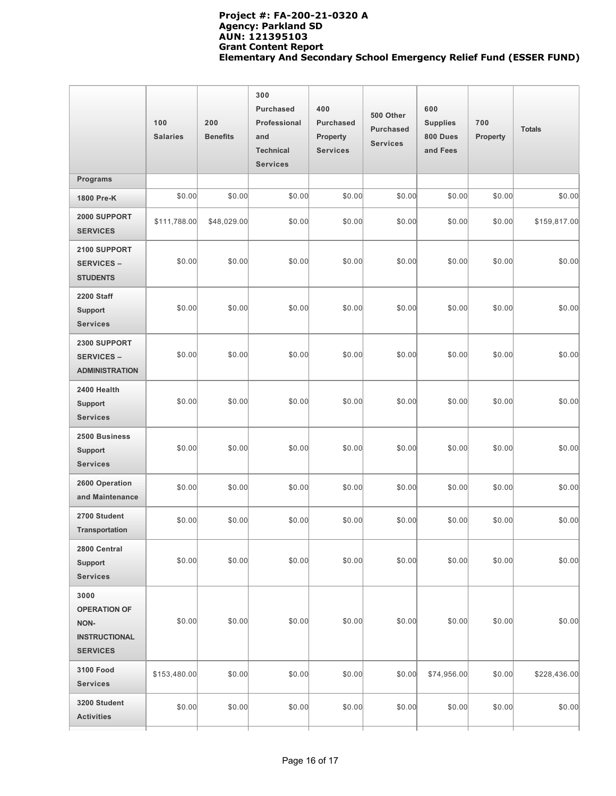|                                                                                | 100<br><b>Salaries</b> | 200<br><b>Benefits</b> | 300<br><b>Purchased</b><br>Professional<br>and<br><b>Technical</b><br><b>Services</b> | 400<br><b>Purchased</b><br>Property<br><b>Services</b> | 500 Other<br><b>Purchased</b><br><b>Services</b> | 600<br><b>Supplies</b><br>800 Dues<br>and Fees | 700<br>Property | <b>Totals</b> |
|--------------------------------------------------------------------------------|------------------------|------------------------|---------------------------------------------------------------------------------------|--------------------------------------------------------|--------------------------------------------------|------------------------------------------------|-----------------|---------------|
| Programs                                                                       |                        |                        |                                                                                       |                                                        |                                                  |                                                |                 |               |
| 1800 Pre-K                                                                     | \$0.00                 | \$0.00                 | \$0.00                                                                                | \$0.00                                                 | \$0.00                                           | \$0.00                                         | \$0.00          | \$0.00        |
| 2000 SUPPORT<br><b>SERVICES</b>                                                | \$111,788.00           | \$48,029.00            | \$0.00                                                                                | \$0.00                                                 | \$0.00                                           | \$0.00                                         | \$0.00          | \$159,817.00  |
| 2100 SUPPORT<br><b>SERVICES -</b><br><b>STUDENTS</b>                           | \$0.00                 | \$0.00                 | \$0.00                                                                                | \$0.00                                                 | \$0.00                                           | \$0.00                                         | \$0.00          | \$0.00        |
| <b>2200 Staff</b><br><b>Support</b><br><b>Services</b>                         | \$0.00                 | \$0.00                 | \$0.00                                                                                | \$0.00                                                 | \$0.00                                           | \$0.00                                         | \$0.00          | \$0.00        |
| 2300 SUPPORT<br><b>SERVICES -</b><br><b>ADMINISTRATION</b>                     | \$0.00                 | \$0.00                 | \$0.00                                                                                | \$0.00                                                 | \$0.00                                           | \$0.00                                         | \$0.00          | \$0.00        |
| 2400 Health<br><b>Support</b><br><b>Services</b>                               | \$0.00                 | \$0.00                 | \$0.00                                                                                | \$0.00                                                 | \$0.00                                           | \$0.00                                         | \$0.00          | \$0.00        |
| 2500 Business<br><b>Support</b><br><b>Services</b>                             | \$0.00                 | \$0.00                 | \$0.00                                                                                | \$0.00                                                 | \$0.00                                           | \$0.00                                         | \$0.00          | \$0.00        |
| 2600 Operation<br>and Maintenance                                              | \$0.00                 | \$0.00                 | \$0.00                                                                                | \$0.00                                                 | \$0.00                                           | \$0.00                                         | \$0.00          | \$0.00        |
| 2700 Student<br><b>Transportation</b>                                          | \$0.00                 | \$0.00                 | \$0.00                                                                                | \$0.00                                                 | \$0.00                                           | \$0.00                                         | \$0.00          | \$0.00        |
| 2800 Central<br><b>Support</b><br><b>Services</b>                              | \$0.00                 | \$0.00                 | \$0.00                                                                                | \$0.00                                                 | \$0.00                                           | \$0.00                                         | \$0.00          | \$0.00        |
| 3000<br><b>OPERATION OF</b><br>NON-<br><b>INSTRUCTIONAL</b><br><b>SERVICES</b> | \$0.00                 | \$0.00                 | \$0.00                                                                                | \$0.00                                                 | \$0.00                                           | \$0.00                                         | \$0.00          | \$0.00        |
| <b>3100 Food</b><br><b>Services</b>                                            | \$153,480.00           | \$0.00                 | \$0.00                                                                                | \$0.00                                                 | \$0.00                                           | \$74,956.00                                    | \$0.00          | \$228,436.00  |
| 3200 Student<br><b>Activities</b>                                              | \$0.00                 | \$0.00                 | \$0.00                                                                                | \$0.00                                                 | \$0.00                                           | \$0.00                                         | \$0.00          | \$0.00        |
|                                                                                |                        |                        |                                                                                       |                                                        |                                                  |                                                |                 |               |